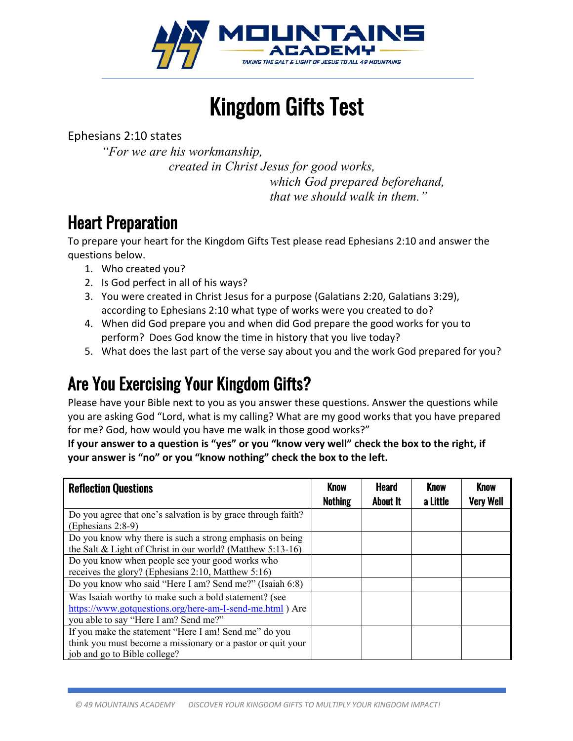

Kingdom Gifts Test

Ephesians 2:10 states

*"For we are his workmanship, created in Christ Jesus for good works, which God prepared beforehand, that we should walk in them."*

# Heart Preparation

To prepare your heart for the Kingdom Gifts Test please read Ephesians 2:10 and answer the questions below.

- 1. Who created you?
- 2. Is God perfect in all of his ways?
- 3. You were created in Christ Jesus for a purpose (Galatians 2:20, Galatians 3:29), according to Ephesians 2:10 what type of works were you created to do?
- 4. When did God prepare you and when did God prepare the good works for you to perform? Does God know the time in history that you live today?
- 5. What does the last part of the verse say about you and the work God prepared for you?

# Are You Exercising Your Kingdom Gifts?

Please have your Bible next to you as you answer these questions. Answer the questions while you are asking God "Lord, what is my calling? What are my good works that you have prepared for me? God, how would you have me walk in those good works?"

**If your answer to a question is "yes" or you "know very well" check the box to the right, if your answer is "no" or you "know nothing" check the box to the left.** 

| <b>Reflection Questions</b>                                                                                                                                 | <b>Know</b><br><b>Nothing</b> | <b>Heard</b><br>About It | <b>Know</b><br>a Little | <b>Know</b><br><b>Very Well</b> |
|-------------------------------------------------------------------------------------------------------------------------------------------------------------|-------------------------------|--------------------------|-------------------------|---------------------------------|
| Do you agree that one's salvation is by grace through faith?<br>(Ephesians 2:8-9)                                                                           |                               |                          |                         |                                 |
| Do you know why there is such a strong emphasis on being<br>the Salt & Light of Christ in our world? (Matthew 5:13-16)                                      |                               |                          |                         |                                 |
| Do you know when people see your good works who<br>receives the glory? (Ephesians 2:10, Matthew 5:16)                                                       |                               |                          |                         |                                 |
| Do you know who said "Here I am? Send me?" (Isaiah 6:8)                                                                                                     |                               |                          |                         |                                 |
| Was Isaiah worthy to make such a bold statement? (see<br>https://www.gotquestions.org/here-am-I-send-me.html ) Are<br>you able to say "Here I am? Send me?" |                               |                          |                         |                                 |
| If you make the statement "Here I am! Send me" do you<br>think you must become a missionary or a pastor or quit your<br>job and go to Bible college?        |                               |                          |                         |                                 |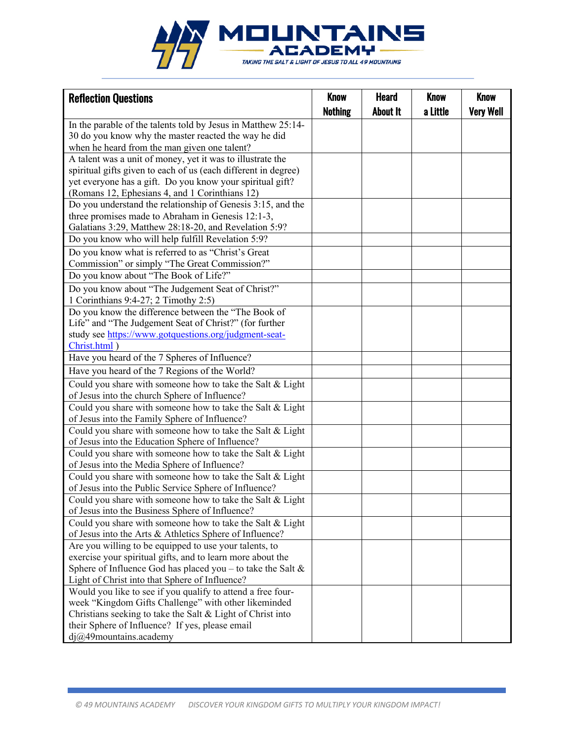

| <b>Reflection Questions</b>                                                                                        | <b>Know</b>    | <b>Heard</b>    | <b>Know</b> | <b>Know</b>      |
|--------------------------------------------------------------------------------------------------------------------|----------------|-----------------|-------------|------------------|
|                                                                                                                    | <b>Nothing</b> | <b>About It</b> | a Little    | <b>Very Well</b> |
| In the parable of the talents told by Jesus in Matthew 25:14-                                                      |                |                 |             |                  |
| 30 do you know why the master reacted the way he did                                                               |                |                 |             |                  |
| when he heard from the man given one talent?                                                                       |                |                 |             |                  |
| A talent was a unit of money, yet it was to illustrate the                                                         |                |                 |             |                  |
| spiritual gifts given to each of us (each different in degree)                                                     |                |                 |             |                  |
| yet everyone has a gift. Do you know your spiritual gift?                                                          |                |                 |             |                  |
| (Romans 12, Ephesians 4, and 1 Corinthians 12)                                                                     |                |                 |             |                  |
| Do you understand the relationship of Genesis 3:15, and the                                                        |                |                 |             |                  |
| three promises made to Abraham in Genesis 12:1-3,                                                                  |                |                 |             |                  |
| Galatians 3:29, Matthew 28:18-20, and Revelation 5:9?                                                              |                |                 |             |                  |
| Do you know who will help fulfill Revelation 5:9?                                                                  |                |                 |             |                  |
| Do you know what is referred to as "Christ's Great                                                                 |                |                 |             |                  |
| Commission" or simply "The Great Commission?"                                                                      |                |                 |             |                  |
| Do you know about "The Book of Life?"                                                                              |                |                 |             |                  |
| Do you know about "The Judgement Seat of Christ?"                                                                  |                |                 |             |                  |
| 1 Corinthians 9:4-27; 2 Timothy 2:5)                                                                               |                |                 |             |                  |
| Do you know the difference between the "The Book of                                                                |                |                 |             |                  |
| Life" and "The Judgement Seat of Christ?" (for further                                                             |                |                 |             |                  |
| study see https://www.gotquestions.org/judgment-seat-                                                              |                |                 |             |                  |
| Christ.html)                                                                                                       |                |                 |             |                  |
| Have you heard of the 7 Spheres of Influence?                                                                      |                |                 |             |                  |
| Have you heard of the 7 Regions of the World?                                                                      |                |                 |             |                  |
| Could you share with someone how to take the Salt & Light                                                          |                |                 |             |                  |
| of Jesus into the church Sphere of Influence?                                                                      |                |                 |             |                  |
| Could you share with someone how to take the Salt & Light                                                          |                |                 |             |                  |
| of Jesus into the Family Sphere of Influence?                                                                      |                |                 |             |                  |
| Could you share with someone how to take the Salt & Light                                                          |                |                 |             |                  |
| of Jesus into the Education Sphere of Influence?                                                                   |                |                 |             |                  |
| Could you share with someone how to take the Salt & Light                                                          |                |                 |             |                  |
| of Jesus into the Media Sphere of Influence?                                                                       |                |                 |             |                  |
| Could you share with someone how to take the Salt & Light                                                          |                |                 |             |                  |
| of Jesus into the Public Service Sphere of Influence?                                                              |                |                 |             |                  |
| Could you share with someone how to take the Salt & Light                                                          |                |                 |             |                  |
| of Jesus into the Business Sphere of Influence?                                                                    |                |                 |             |                  |
| Could you share with someone how to take the Salt & Light                                                          |                |                 |             |                  |
| of Jesus into the Arts & Athletics Sphere of Influence?                                                            |                |                 |             |                  |
| Are you willing to be equipped to use your talents, to                                                             |                |                 |             |                  |
| exercise your spiritual gifts, and to learn more about the                                                         |                |                 |             |                  |
| Sphere of Influence God has placed you – to take the Salt $\&$                                                     |                |                 |             |                  |
| Light of Christ into that Sphere of Influence?                                                                     |                |                 |             |                  |
| Would you like to see if you qualify to attend a free four-                                                        |                |                 |             |                  |
| week "Kingdom Gifts Challenge" with other likeminded<br>Christians seeking to take the Salt & Light of Christ into |                |                 |             |                  |
| their Sphere of Influence? If yes, please email                                                                    |                |                 |             |                  |
| $dj@49$ mountains.academy                                                                                          |                |                 |             |                  |
|                                                                                                                    |                |                 |             |                  |